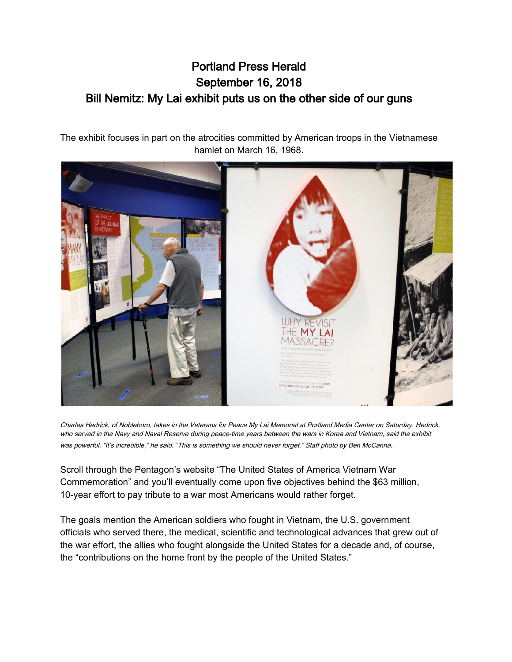## Portland Press Herald September 16, 2018 Bill Nemitz: My Lai exhibit puts us on the other side of our guns

The exhibit focuses in part on the atrocities committed by American troops in the Vietnamese hamlet on March 16, 1968.



Charles Hedrick, of Nobleboro, takes in the Veterans for Peace My Lai Memorial at Portland Media Center on Saturday. Hedrick, who served in the Navy and Naval Reserve during peace-time years between the wars in Korea and Vietnam, said the exhibit was powerful. "It's incredible," he said. "This is something we should never forget." Staff photo by Ben McCanna.

Scroll through the Pentagon's website "The United States of America Vietnam War Commemoration" and you'll eventually come upon five objectives behind the \$63 million, 10-year effort to pay tribute to a war most Americans would rather forget.

The goals mention the American soldiers who fought in Vietnam, the U.S. government officials who served there, the medical, scientific and technological advances that grew out of the war effort, the allies who fought alongside the United States for a decade and, of course, the "contributions on the home front by the people of the United States."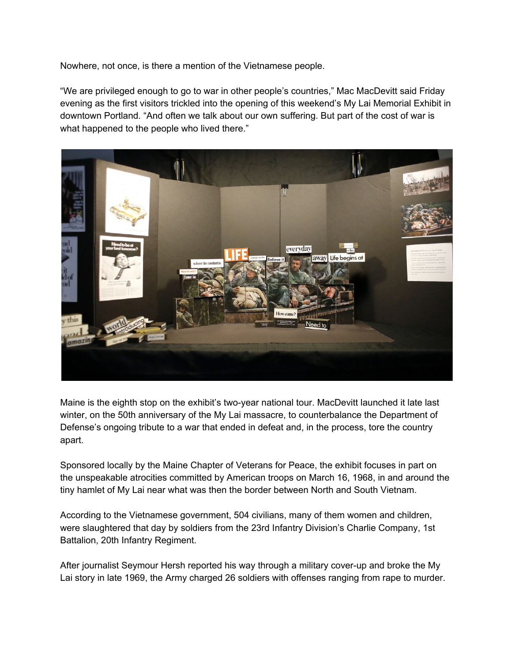Nowhere, not once, is there a mention of the Vietnamese people.

"We are privileged enough to go to war in other people's countries," Mac MacDevitt said Friday evening as the first visitors trickled into the opening of this weekend's My Lai Memorial Exhibit in downtown Portland. "And often we talk about our own suffering. But part of the cost of war is what happened to the people who lived there."



Maine is the eighth stop on the exhibit's two-year national tour. MacDevitt launched it late last winter, on the 50th anniversary of the My Lai massacre, to counterbalance the Department of Defense's ongoing tribute to a war that ended in defeat and, in the process, tore the country apart.

Sponsored locally by the Maine Chapter of Veterans for Peace, the exhibit focuses in part on the unspeakable atrocities committed by American troops on March 16, 1968, in and around the tiny hamlet of My Lai near what was then the border between North and South Vietnam.

According to the Vietnamese government, 504 civilians, many of them women and children, were slaughtered that day by soldiers from the 23rd Infantry Division's Charlie Company, 1st Battalion, 20th Infantry Regiment.

After journalist Seymour Hersh reported his way through a military cover-up and broke the My Lai story in late 1969, the Army charged 26 soldiers with offenses ranging from rape to murder.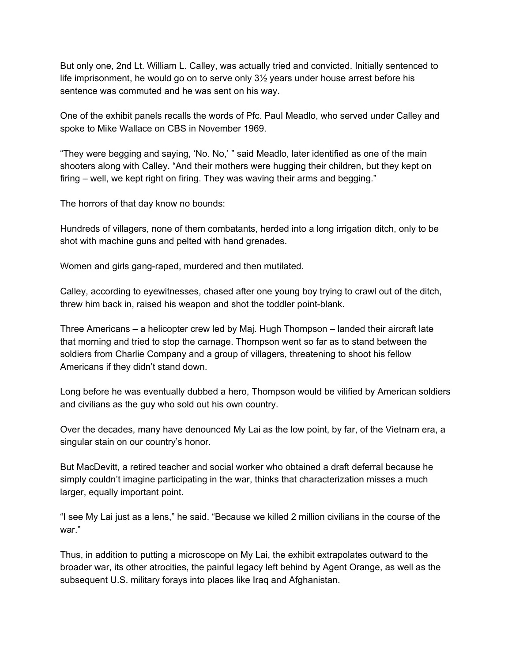But only one, 2nd Lt. William L. Calley, was actually tried and convicted. Initially sentenced to life imprisonment, he would go on to serve only 3½ years under house arrest before his sentence was commuted and he was sent on his way.

One of the exhibit panels recalls the words of Pfc. Paul Meadlo, who served under Calley and spoke to Mike Wallace on CBS in November 1969.

"They were begging and saying, 'No. No,' " said Meadlo, later identified as one of the main shooters along with Calley. "And their mothers were hugging their children, but they kept on firing – well, we kept right on firing. They was waving their arms and begging."

The horrors of that day know no bounds:

Hundreds of villagers, none of them combatants, herded into a long irrigation ditch, only to be shot with machine guns and pelted with hand grenades.

Women and girls gang-raped, murdered and then mutilated.

Calley, according to eyewitnesses, chased after one young boy trying to crawl out of the ditch, threw him back in, raised his weapon and shot the toddler point-blank.

Three Americans – a helicopter crew led by Maj. Hugh Thompson – landed their aircraft late that morning and tried to stop the carnage. Thompson went so far as to stand between the soldiers from Charlie Company and a group of villagers, threatening to shoot his fellow Americans if they didn't stand down.

Long before he was eventually dubbed a hero, Thompson would be vilified by American soldiers and civilians as the guy who sold out his own country.

Over the decades, many have denounced My Lai as the low point, by far, of the Vietnam era, a singular stain on our country's honor.

But MacDevitt, a retired teacher and social worker who obtained a draft deferral because he simply couldn't imagine participating in the war, thinks that characterization misses a much larger, equally important point.

"I see My Lai just as a lens," he said. "Because we killed 2 million civilians in the course of the war."

Thus, in addition to putting a microscope on My Lai, the exhibit extrapolates outward to the broader war, its other atrocities, the painful legacy left behind by Agent Orange, as well as the subsequent U.S. military forays into places like Iraq and Afghanistan.